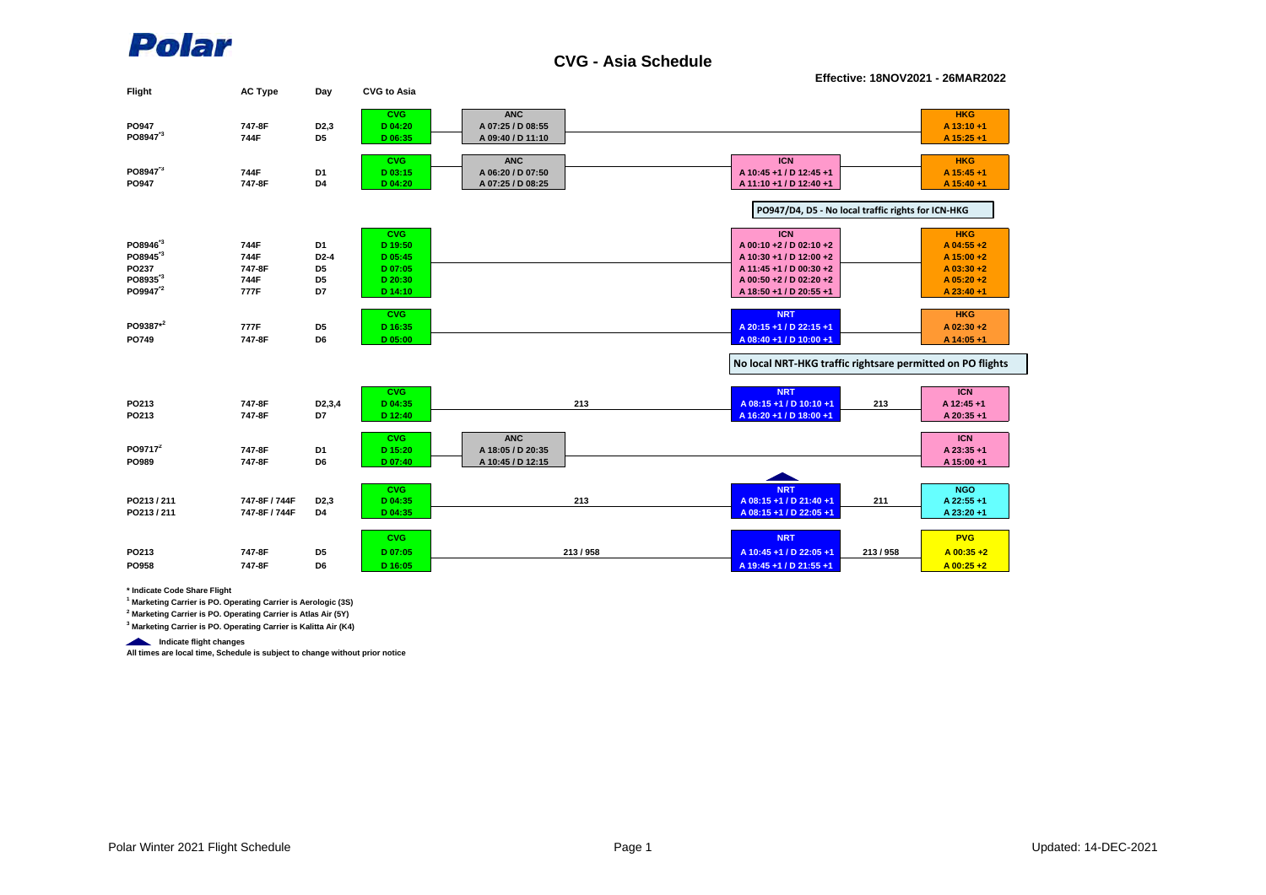

**CVG - Asia Schedule**

**Effective: 18NOV2021 - 26MAR2022**

| Flight               | <b>AC Type</b> | Day                 | <b>CVG to Asia</b>    |                   |                                                            |                          |
|----------------------|----------------|---------------------|-----------------------|-------------------|------------------------------------------------------------|--------------------------|
|                      |                |                     | <b>CVG</b>            | <b>ANC</b>        |                                                            | <b>HKG</b>               |
| PO947                | 747-8F         | D <sub>2</sub> ,3   | D 04:20               | A 07:25 / D 08:55 |                                                            | A 13:10+1                |
| PO8947 <sup>3</sup>  | 744F           | D <sub>5</sub>      | D 06:35               | A 09:40 / D 11:10 |                                                            | A 15:25 +1               |
|                      |                |                     | <b>CVG</b>            | <b>ANC</b>        | <b>ICN</b>                                                 | <b>HKG</b>               |
| PO8947 <sup>*3</sup> | 744F           | D <sub>1</sub>      | D 03:15               | A 06:20 / D 07:50 | A 10:45 +1 / D 12:45 +1                                    | A 15:45 +1               |
| PO947                | 747-8F         | D4                  | D 04:20               | A 07:25 / D 08:25 | A 11:10 +1 / D 12:40 +1                                    | A 15:40 +1               |
|                      |                |                     |                       |                   |                                                            |                          |
|                      |                |                     |                       |                   | PO947/D4, D5 - No local traffic rights for ICN-HKG         |                          |
|                      |                |                     | <b>CVG</b>            |                   | <b>ICN</b>                                                 | <b>HKG</b>               |
| PO8946 <sup>3</sup>  | 744F           | D <sub>1</sub>      | D 19:50               |                   | A 00:10 +2 / D 02:10 +2                                    | A 04:55 +2               |
| PO8945 <sup>*3</sup> | 744F           | $D2-4$              | D 05:45               |                   | A 10:30 +1 / D 12:00 +2                                    | A 15:00 +2               |
| PO237                | 747-8F         | D <sub>5</sub>      | D 07:05               |                   | A 11:45 +1 / D 00:30 +2                                    | A 03:30+2                |
| PO8935 <sup>*3</sup> | 744F           | D <sub>5</sub>      | D 20:30               |                   | A 00:50 +2 / D 02:20 +2                                    | $A$ 05:20 +2             |
| PO9947 <sup>2</sup>  | 777F           | D7                  | D 14:10               |                   | A 18:50 +1 / D 20:55 +1                                    | A 23:40 +1               |
|                      |                |                     | <b>CVG</b>            |                   | <b>NRT</b>                                                 | <b>HKG</b>               |
| PO9387*2             | 777F           | D <sub>5</sub>      | D 16:35               |                   | A 20:15 +1 / D 22:15 +1                                    | A 02:30 +2               |
| PO749                | 747-8F         | D <sub>6</sub>      | D 05:00               |                   | A 08:40 +1 / D 10:00 +1                                    | A 14:05 +1               |
|                      |                |                     |                       |                   | No local NRT-HKG traffic rightsare permitted on PO flights |                          |
|                      |                |                     |                       |                   |                                                            |                          |
|                      |                |                     | <b>CVG</b>            |                   | <b>NRT</b>                                                 | <b>ICN</b>               |
| PO213                | 747-8F         | D <sub>2</sub> ,3,4 | D 04:35               | 213               | A 08:15 +1 / D 10:10 +1<br>213                             | A 12:45 +1               |
| PO213                | 747-8F         | D7                  | D 12:40               |                   | A 16:20 +1 / D 18:00 +1                                    | A 20:35 +1               |
|                      |                |                     | <b>CVG</b>            | <b>ANC</b>        |                                                            | <b>ICN</b>               |
| PO9717 <sup>2</sup>  | 747-8F         | D <sub>1</sub>      | D 15:20               | A 18:05 / D 20:35 |                                                            | A 23:35 +1               |
| PO989                | 747-8F         | D <sub>6</sub>      | D 07:40               | A 10:45 / D 12:15 |                                                            | A 15:00 +1               |
|                      |                |                     |                       |                   |                                                            |                          |
| PO213/211            | 747-8F / 744F  | D <sub>2</sub> ,3   | <b>CVG</b><br>D 04:35 | 213               | <b>NRT</b><br>A 08:15 +1 / D 21:40 +1<br>211               | <b>NGO</b><br>A 22:55 +1 |
| PO213/211            | 747-8F / 744F  | D4                  | D 04:35               |                   | A 08:15 +1 / D 22:05 +1                                    | A 23:20 +1               |
|                      |                |                     |                       |                   |                                                            |                          |
|                      |                |                     | <b>CVG</b>            |                   | <b>NRT</b>                                                 | <b>PVG</b>               |
| PO213                | 747-8F         | D <sub>5</sub>      | D 07:05               | 213/958           | 213/958<br>A 10:45 +1 / D 22:05 +1                         | $A$ 00:35 +2             |
| PO958                | 747-8F         | D <sub>6</sub>      | D 16:05               |                   | A 19:45 +1 / D 21:55 +1                                    | $A$ 00:25 +2             |
|                      |                |                     |                       |                   |                                                            |                          |

**\* Indicate Code Share Flight**

**1 Marketing Carrier is PO. Operating Carrier is Aerologic (3S)**

**2 Marketing Carrier is PO. Operating Carrier is Atlas Air (5Y)**

**3 Marketing Carrier is PO. Operating Carrier is Kalitta Air (K4)**

**Indicate flight changes** 

**All times are local time, Schedule is subject to change without prior notice**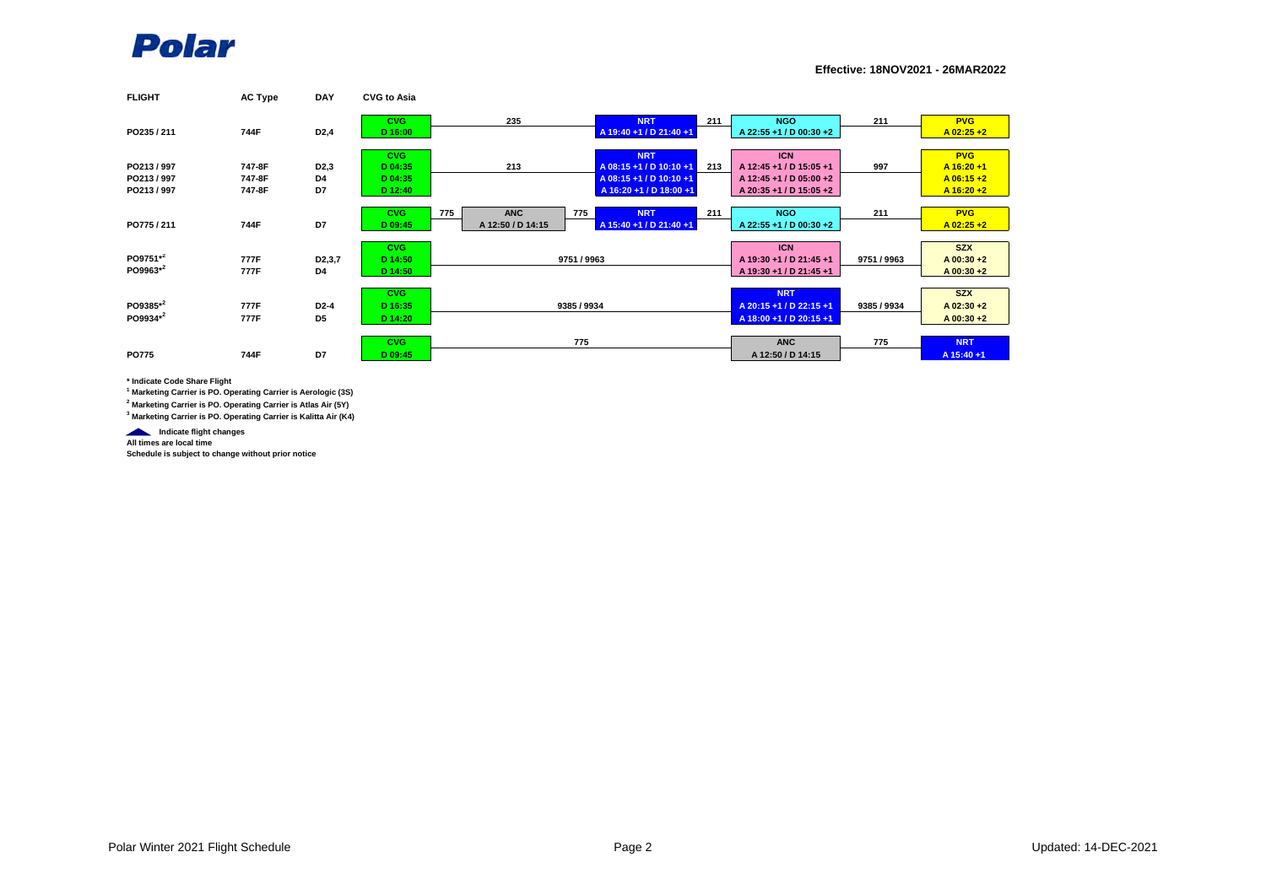

**Effective: 18NOV2021 - 26MAR2022**

| <b>FLIGHT</b> | <b>AC Type</b> | <b>DAY</b>          | <b>CVG to Asia</b> |                   |                         |     |                         |             |               |
|---------------|----------------|---------------------|--------------------|-------------------|-------------------------|-----|-------------------------|-------------|---------------|
|               |                |                     | <b>CVG</b>         | 235               | <b>NRT</b>              | 211 | <b>NGO</b>              | 211         | <b>PVG</b>    |
| PO235 / 211   | 744F           | D <sub>2</sub> ,4   | D 16:00            |                   | A 19:40 +1 / D 21:40 +1 |     | A 22:55 +1 / D 00:30 +2 |             | $A$ 02:25 +2  |
|               |                |                     | CVG.               |                   | <b>NRT</b>              |     | <b>ICN</b>              |             | <b>PVG</b>    |
| PO213/997     | 747-8F         | D <sub>2</sub> ,3   | D 04:35            | 213               | A 08:15 +1 / D 10:10 +1 | 213 | A 12:45 +1 / D 15:05 +1 | 997         | A 16:20 +1    |
| PO213/997     | 747-8F         | D4                  | D 04:35            |                   | A 08:15 +1 / D 10:10 +1 |     | A 12:45 +1 / D 05:00 +2 |             | $A$ 06:15+2   |
| PO213/997     | 747-8F         | D7                  | D 12:40            |                   | A 16:20 +1 / D 18:00 +1 |     | A 20:35 +1 / D 15:05 +2 |             | $A 16:20 + 2$ |
|               |                |                     |                    |                   |                         |     |                         |             |               |
|               |                |                     | <b>CVG</b>         | <b>ANC</b><br>775 | <b>NRT</b><br>775       | 211 | <b>NGO</b>              | 211         | <b>PVG</b>    |
| PO775 / 211   | 744F           | D7                  | D 09:45            | A 12:50 / D 14:15 | A 15:40 +1 / D 21:40 +1 |     | A 22:55 +1 / D 00:30 +2 |             | $A$ 02:25 +2  |
|               |                |                     |                    |                   |                         |     |                         |             |               |
|               |                |                     | <b>CVG</b>         |                   |                         |     | <b>ICN</b>              |             | <b>SZX</b>    |
| PO9751*2      | 777F           | D <sub>2</sub> ,3,7 | D 14:50            |                   | 9751 / 9963             |     | A 19:30 +1 / D 21:45 +1 | 9751 / 9963 | $A$ 00:30 +2  |
| PO9963*2      | 777F           | D4                  | D 14:50            |                   |                         |     | A 19:30 +1 / D 21:45 +1 |             | A 00:30 +2    |
|               |                |                     |                    |                   |                         |     |                         |             |               |
|               |                |                     | <b>CVG</b>         |                   |                         |     | <b>NRT</b>              |             | <b>SZX</b>    |
| PO9385*2      | 777F           | D2-4                | D 16:35            |                   | 9385 / 9934             |     | A 20:15 +1 / D 22:15 +1 | 9385 / 9934 | $A$ 02:30 +2  |
| PO9934*2      | 777F           | D <sub>5</sub>      | D 14:20            |                   |                         |     | A 18:00 +1 / D 20:15 +1 |             | A 00:30 +2    |
|               |                |                     |                    |                   |                         |     |                         |             |               |
|               |                |                     | <b>CVG</b>         |                   | 775                     |     | <b>ANC</b>              | 775         | <b>NRT</b>    |
| <b>PO775</b>  | 744F           | D7                  | D 09:45            |                   |                         |     | A 12:50 / D 14:15       |             | A 15:40 +1    |

**\* Indicate Code Share Flight**

**1 Marketing Carrier is PO. Operating Carrier is Aerologic (3S)**

**2 Marketing Carrier is PO. Operating Carrier is Atlas Air (5Y)**

**3 Marketing Carrier is PO. Operating Carrier is Kalitta Air (K4)**

**Indicate flight changes** 

**All times are local time**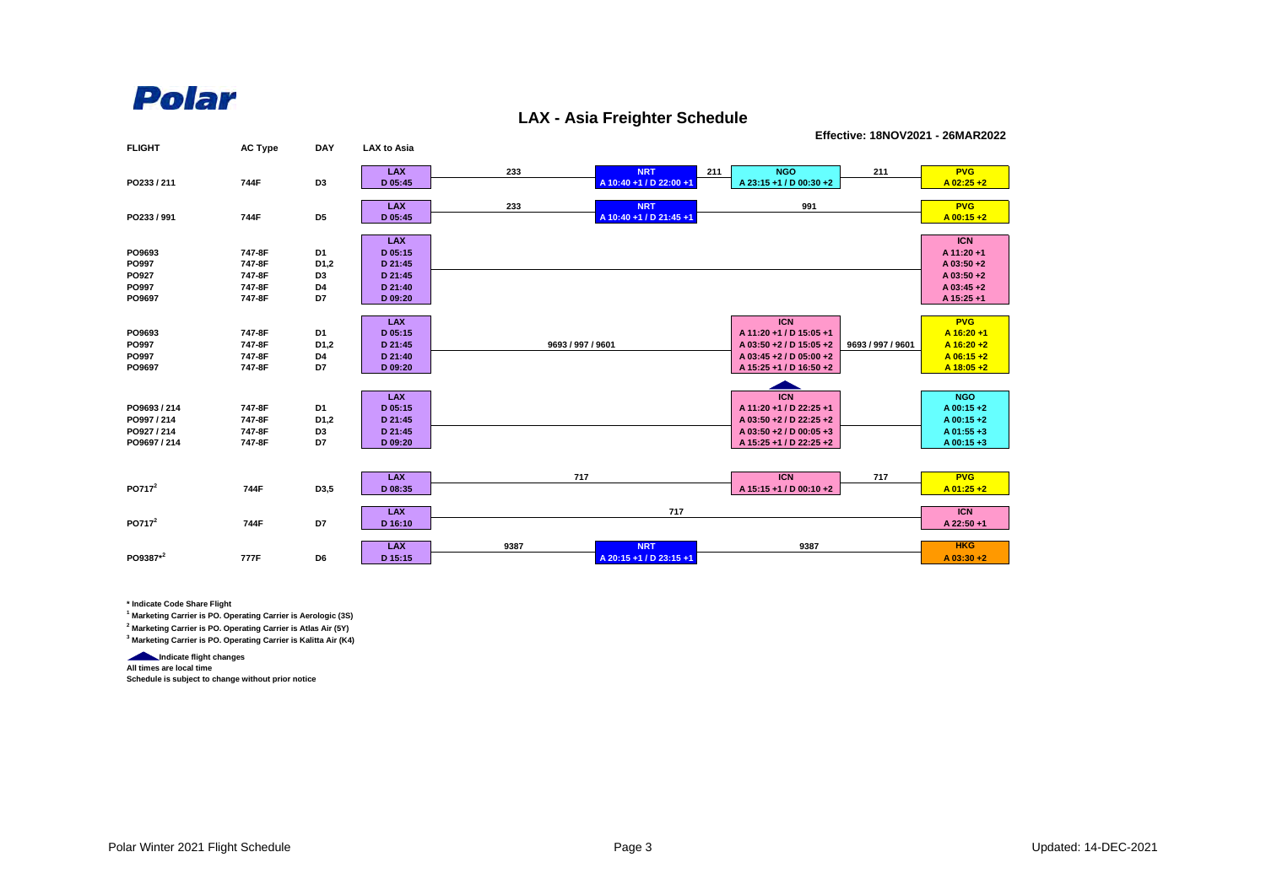## Polar

## **LAX - Asia Freighter Schedule**

**Effective: 18NOV2021 - 26MAR2022**

| <b>FLIGHT</b>      | <b>AC Type</b> | <b>DAY</b>        | <b>LAX to Asia</b>    |                   |                                       |     |                         |                   |                           |
|--------------------|----------------|-------------------|-----------------------|-------------------|---------------------------------------|-----|-------------------------|-------------------|---------------------------|
|                    |                |                   | <b>LAX</b>            | 233               | <b>NRT</b>                            | 211 | <b>NGO</b>              | 211               | <b>PVG</b>                |
| PO233 / 211        | 744F           | D <sub>3</sub>    | D 05:45               |                   | A 10:40 +1 / D 22:00 +1               |     | A 23:15 +1 / D 00:30 +2 |                   | $A$ 02:25 +2              |
|                    |                |                   |                       |                   |                                       |     |                         |                   |                           |
| PO233 / 991        | 744F           | D <sub>5</sub>    | <b>LAX</b><br>D 05:45 | 233               | <b>NRT</b><br>A 10:40 +1 / D 21:45 +1 |     | 991                     |                   | <b>PVG</b><br>$A$ 00:15+2 |
|                    |                |                   |                       |                   |                                       |     |                         |                   |                           |
|                    |                |                   | <b>LAX</b>            |                   |                                       |     |                         |                   | <b>ICN</b>                |
| PO9693             | 747-8F         | D1                | D 05:15               |                   |                                       |     |                         |                   | A 11:20 +1                |
| PO997              | 747-8F         | D <sub>1</sub> ,2 | D 21:45               |                   |                                       |     |                         |                   | A 03:50 +2                |
| PO927              | 747-8F         | D <sub>3</sub>    | D 21:45               |                   |                                       |     |                         |                   | A 03:50 +2                |
| PO997              | 747-8F         | D4                | D 21:40               |                   |                                       |     |                         |                   | A 03:45 +2                |
| PO9697             | 747-8F         | D7                | D 09:20               |                   |                                       |     |                         |                   | A 15:25 +1                |
|                    |                |                   |                       |                   |                                       |     |                         |                   |                           |
|                    |                |                   | <b>LAX</b>            |                   |                                       |     | <b>ICN</b>              |                   | <b>PVG</b>                |
| PO9693             | 747-8F         | D1                | D 05:15               |                   |                                       |     | A 11:20 +1 / D 15:05 +1 |                   | $A$ 16:20+1               |
| PO997              | 747-8F         | D <sub>1,2</sub>  | D 21:45               | 9693 / 997 / 9601 |                                       |     | A 03:50 +2 / D 15:05 +2 | 9693 / 997 / 9601 | $A$ 16:20+2               |
| PO997              | 747-8F         | D4                | D 21:40               |                   |                                       |     | A 03:45 +2 / D 05:00 +2 |                   | $A$ 06:15+2               |
| PO9697             | 747-8F         | D7                | D 09:20               |                   |                                       |     | A 15:25 +1 / D 16:50 +2 |                   | $A$ 18:05+2               |
|                    |                |                   |                       |                   |                                       |     |                         |                   |                           |
|                    |                |                   | <b>LAX</b>            |                   |                                       |     | <b>ICN</b>              |                   | <b>NGO</b>                |
| PO9693 / 214       | 747-8F         | D1                | D 05:15               |                   |                                       |     | A 11:20 +1 / D 22:25 +1 |                   | A 00:15 +2                |
| PO997 / 214        | 747-8F         | D <sub>1</sub> ,2 | D 21:45               |                   |                                       |     | A 03:50 +2 / D 22:25 +2 |                   | A 00:15+2                 |
| PO927 / 214        | 747-8F         | D <sub>3</sub>    | D 21:45               |                   |                                       |     | A 03:50 +2 / D 00:05 +3 |                   | A 01:55 +3                |
| PO9697 / 214       | 747-8F         | D7                | D 09:20               |                   |                                       |     | A 15:25 +1 / D 22:25 +2 |                   | A 00:15+3                 |
|                    |                |                   |                       |                   |                                       |     |                         |                   |                           |
|                    |                |                   |                       |                   |                                       |     |                         |                   |                           |
| PO717 <sup>2</sup> |                |                   | <b>LAX</b>            | 717               |                                       |     | <b>ICN</b>              | 717               | <b>PVG</b>                |
|                    | 744F           | D3,5              | D 08:35               |                   |                                       |     | A 15:15 +1 / D 00:10 +2 |                   | $A$ 01:25 +2              |
|                    |                |                   | <b>LAX</b>            |                   | 717                                   |     |                         |                   | <b>ICN</b>                |
| PO717 <sup>2</sup> | 744F           | D7                | D 16:10               |                   |                                       |     |                         |                   | A 22:50 +1                |
|                    |                |                   |                       |                   |                                       |     |                         |                   |                           |
|                    |                |                   | <b>LAX</b>            | 9387              | <b>NRT</b>                            |     | 9387                    |                   | <b>HKG</b>                |
| PO9387*2           | 777F           | D6                | D 15:15               |                   | A 20:15 +1 / D 23:15 +1               |     |                         |                   | $A$ 03:30 +2              |

**\* Indicate Code Share Flight**

**1 Marketing Carrier is PO. Operating Carrier is Aerologic (3S)**

**2 Marketing Carrier is PO. Operating Carrier is Atlas Air (5Y)**

**3 Marketing Carrier is PO. Operating Carrier is Kalitta Air (K4)**

**Indicate flight changes All times are local time**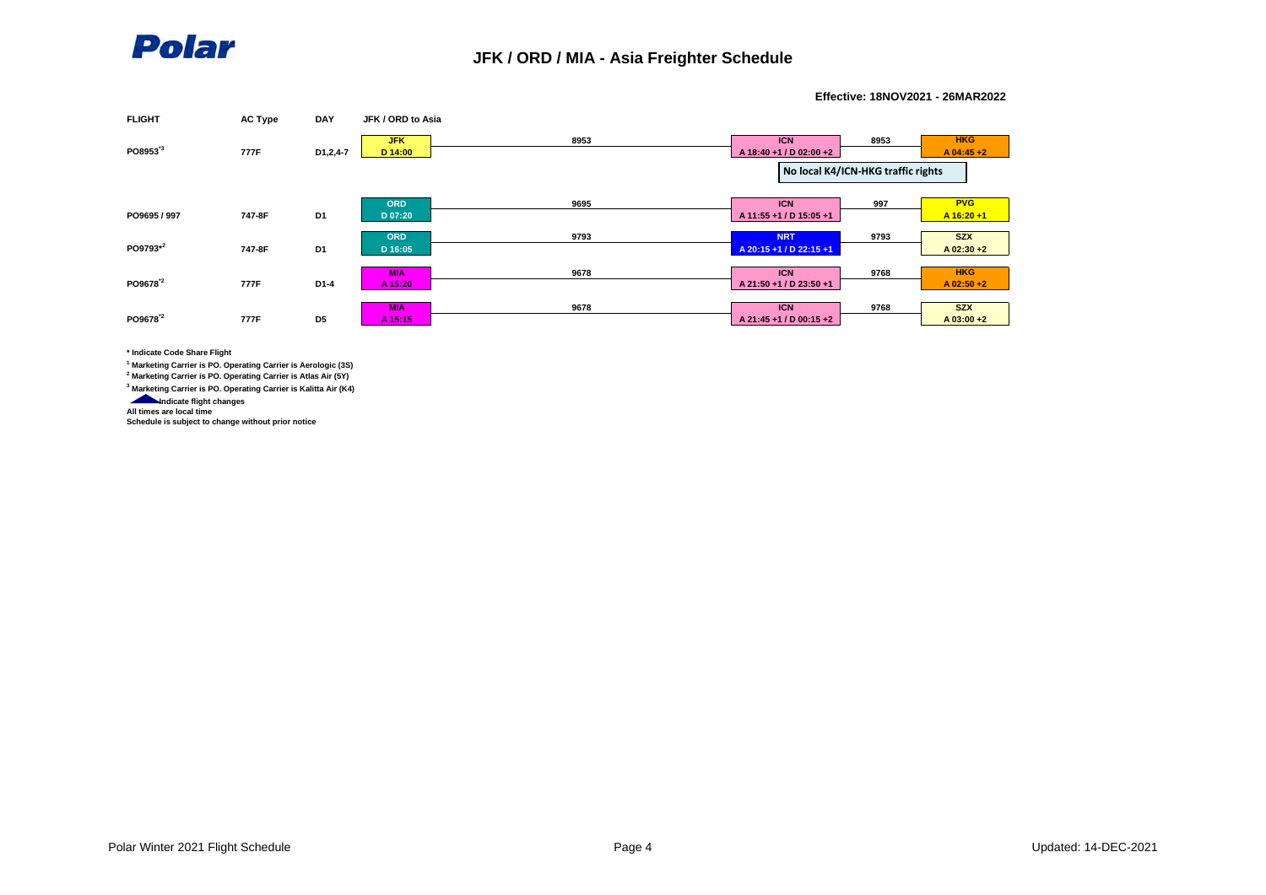

**Effective: 18NOV2021 - 26MAR2022**



**\* Indicate Code Share Flight**

**1 Marketing Carrier is PO. Operating Carrier is Aerologic (3S)**

**2 Marketing Carrier is PO. Operating Carrier is Atlas Air (5Y)**

**3 Marketing Carrier is PO. Operating Carrier is Kalitta Air (K4)**

**Indicate flight changes** 

**All times are local time**